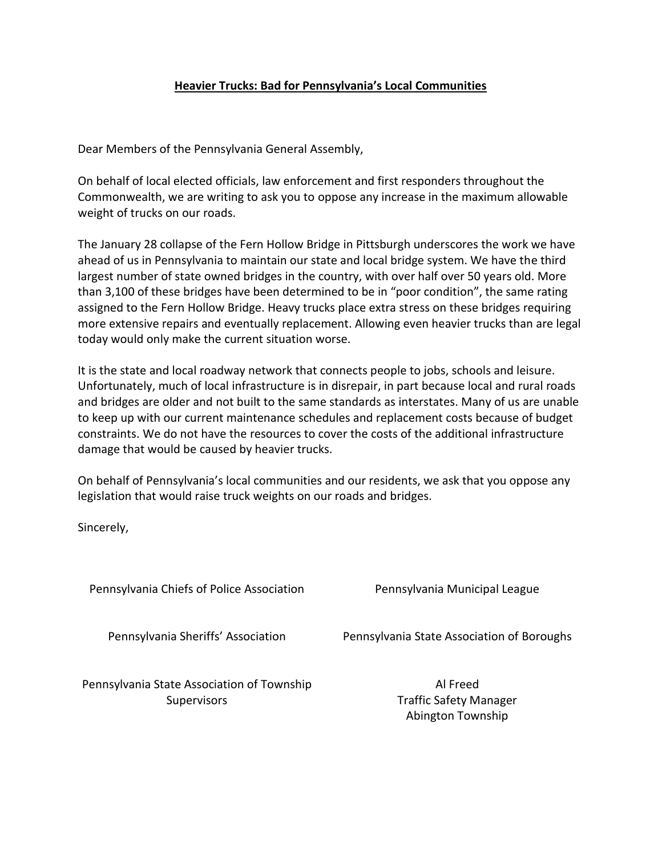## **Heavier Trucks: Bad for Pennsylvania's Local Communities**

Dear Members of the Pennsylvania General Assembly,

On behalf of local elected officials, law enforcement and first responders throughout the Commonwealth, we are writing to ask you to oppose any increase in the maximum allowable weight of trucks on our roads.

The January 28 collapse of the Fern Hollow Bridge in Pittsburgh underscores the work we have ahead of us in Pennsylvania to maintain our state and local bridge system. We have the third largest number of state owned bridges in the country, with over half over 50 years old. More than 3,100 of these bridges have been determined to be in "poor condition", the same rating assigned to the Fern Hollow Bridge. Heavy trucks place extra stress on these bridges requiring more extensive repairs and eventually replacement. Allowing even heavier trucks than are legal today would only make the current situation worse.

It is the state and local roadway network that connects people to jobs, schools and leisure. Unfortunately, much of local infrastructure is in disrepair, in part because local and rural roads and bridges are older and not built to the same standards as interstates. Many of us are unable to keep up with our current maintenance schedules and replacement costs because of budget constraints. We do not have the resources to cover the costs of the additional infrastructure damage that would be caused by heavier trucks.

On behalf of Pennsylvania's local communities and our residents, we ask that you oppose any legislation that would raise truck weights on our roads and bridges.

Sincerely,

Pennsylvania Chiefs of Police Association **Pennsylvania Municipal League** 

Pennsylvania Sheriffs' Association Pennsylvania State Association of Boroughs

Pennsylvania State Association of Township **Supervisors** 

Al Freed Traffic Safety Manager Abington Township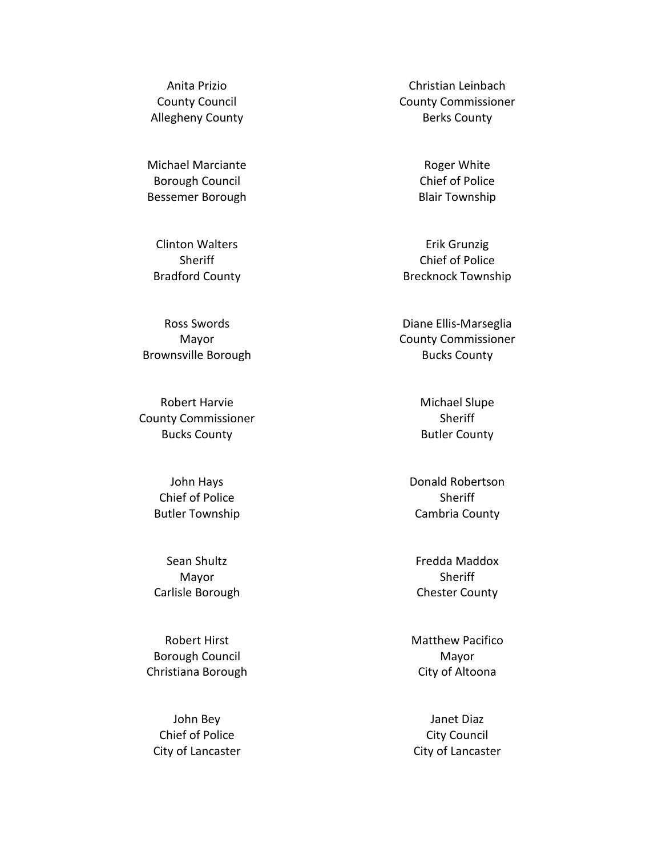Anita Prizio County Council Allegheny County

Michael Marciante Borough Council Bessemer Borough

Clinton Walters **Sheriff** Bradford County

Ross Swords Mayor Brownsville Borough

Robert Harvie County Commissioner Bucks County

> John Hays Chief of Police Butler Township

> Sean Shultz Mayor Carlisle Borough

Robert Hirst Borough Council Christiana Borough

John Bey Chief of Police City of Lancaster

Christian Leinbach County Commissioner Berks County

> Roger White Chief of Police Blair Township

Erik Grunzig Chief of Police Brecknock Township

Diane Ellis-Marseglia County Commissioner Bucks County

> Michael Slupe **Sheriff** Butler County

Donald Robertson **Sheriff** Cambria County

Fredda Maddox **Sheriff** Chester County

Matthew Pacifico Mayor City of Altoona

Janet Diaz City Council City of Lancaster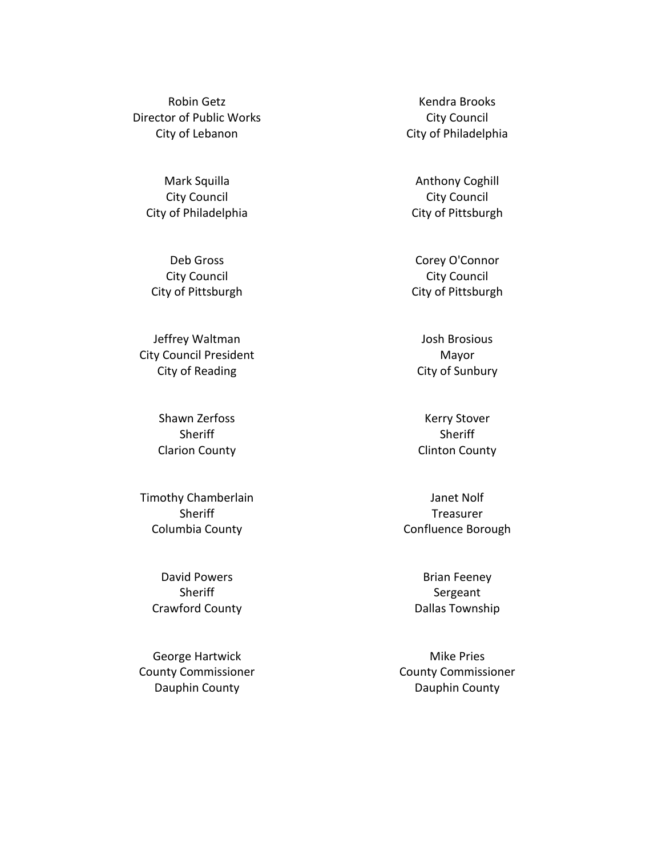Robin Getz Director of Public Works City of Lebanon

Mark Squilla City Council City of Philadelphia

Deb Gross City Council City of Pittsburgh

Jeffrey Waltman City Council President City of Reading

> Shawn Zerfoss **Sheriff** Clarion County

Timothy Chamberlain **Sheriff** Columbia County

> David Powers **Sheriff** Crawford County

George Hartwick County Commissioner Dauphin County

Kendra Brooks City Council City of Philadelphia

Anthony Coghill City Council City of Pittsburgh

Corey O'Connor City Council City of Pittsburgh

Josh Brosious Mayor City of Sunbury

Kerry Stover **Sheriff** Clinton County

Janet Nolf Treasurer Confluence Borough

Brian Feeney Sergeant Dallas Township

Mike Pries County Commissioner Dauphin County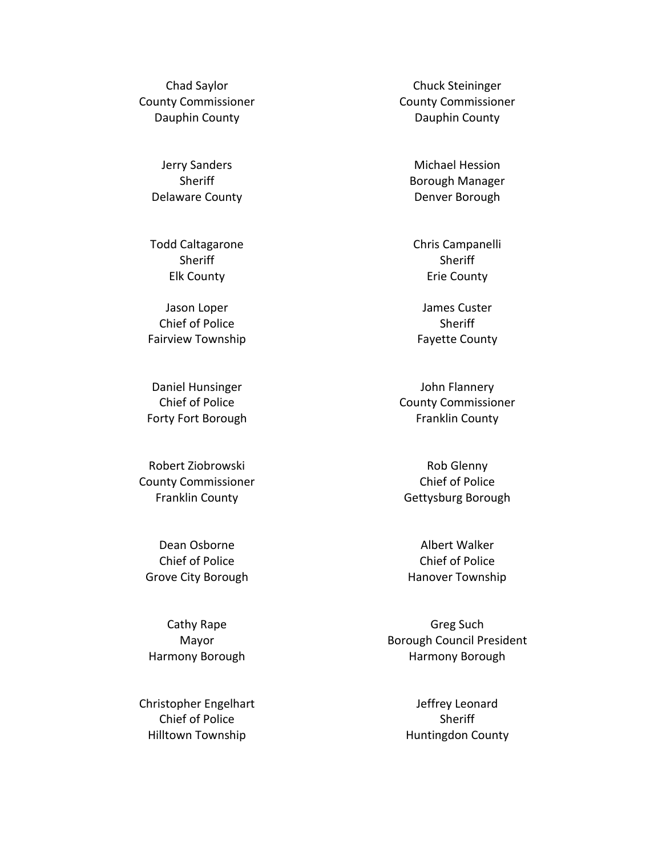Chad Saylor County Commissioner Dauphin County

> Jerry Sanders **Sheriff** Delaware County

Todd Caltagarone **Sheriff** Elk County

Jason Loper Chief of Police Fairview Township

Daniel Hunsinger Chief of Police Forty Fort Borough

Robert Ziobrowski County Commissioner Franklin County

Dean Osborne Chief of Police Grove City Borough

Cathy Rape Mayor Harmony Borough

Christopher Engelhart Chief of Police Hilltown Township

Chuck Steininger County Commissioner Dauphin County

Michael Hession Borough Manager Denver Borough

Chris Campanelli **Sheriff** Erie County

James Custer **Sheriff** Fayette County

John Flannery County Commissioner Franklin County

Rob Glenny Chief of Police Gettysburg Borough

Albert Walker Chief of Police Hanover Township

Greg Such Borough Council President Harmony Borough

> Jeffrey Leonard Sheriff Huntingdon County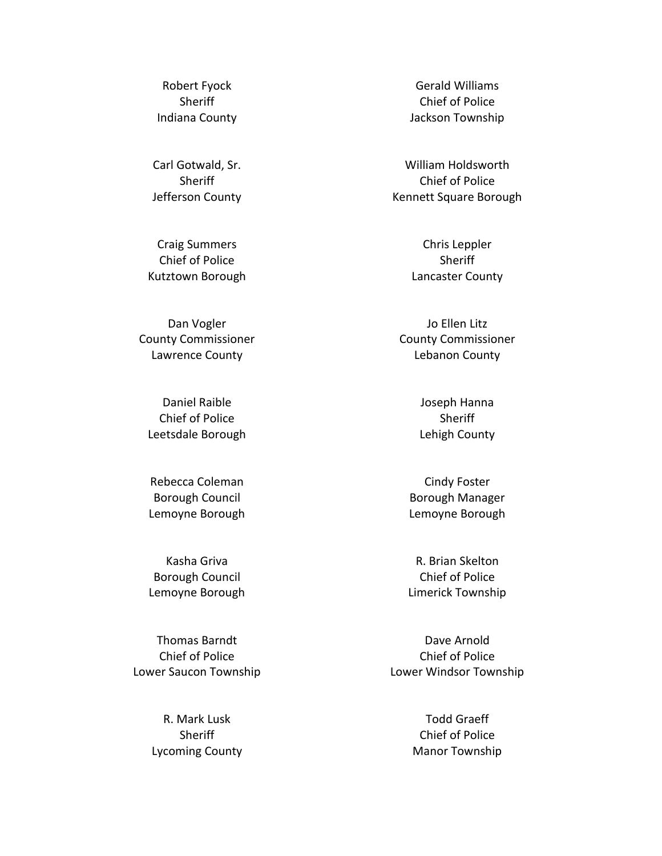Robert Fyock **Sheriff** Indiana County

Carl Gotwald, Sr. **Sheriff** Jefferson County

Craig Summers Chief of Police Kutztown Borough

Dan Vogler County Commissioner Lawrence County

Daniel Raible Chief of Police Leetsdale Borough

Rebecca Coleman Borough Council Lemoyne Borough

Kasha Griva Borough Council Lemoyne Borough

Thomas Barndt Chief of Police Lower Saucon Township

> R. Mark Lusk **Sheriff** Lycoming County

Gerald Williams Chief of Police Jackson Township

William Holdsworth Chief of Police Kennett Square Borough

> Chris Leppler **Sheriff** Lancaster County

Jo Ellen Litz County Commissioner Lebanon County

> Joseph Hanna Sheriff Lehigh County

Cindy Foster Borough Manager Lemoyne Borough

R. Brian Skelton Chief of Police Limerick Township

Dave Arnold Chief of Police Lower Windsor Township

> Todd Graeff Chief of Police Manor Township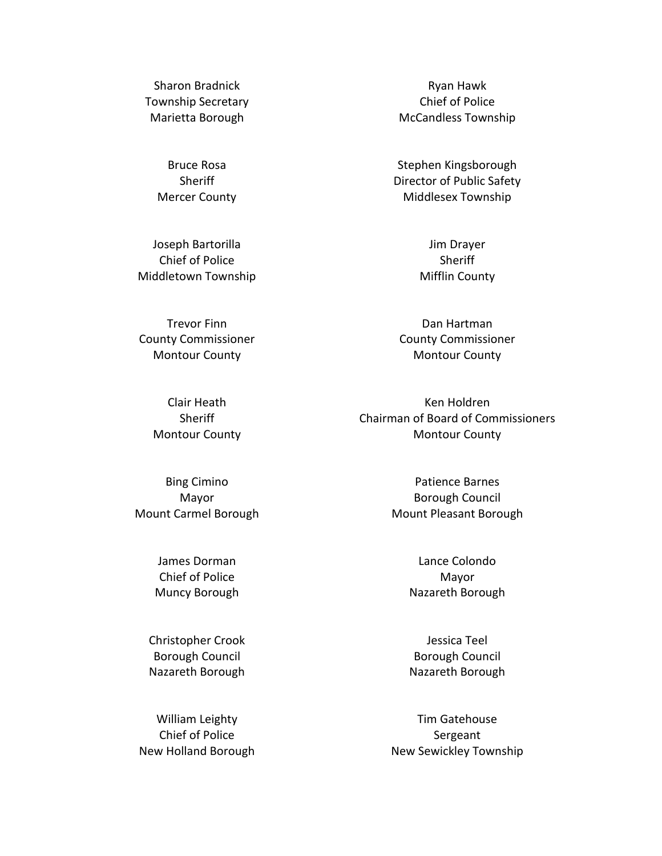Sharon Bradnick Township Secretary Marietta Borough

> Bruce Rosa **Sheriff** Mercer County

Joseph Bartorilla Chief of Police Middletown Township

Trevor Finn County Commissioner Montour County

> Clair Heath **Sheriff** Montour County

Bing Cimino Mayor Mount Carmel Borough

> James Dorman Chief of Police Muncy Borough

Christopher Crook Borough Council Nazareth Borough

William Leighty Chief of Police New Holland Borough

Ryan Hawk Chief of Police McCandless Township

Stephen Kingsborough Director of Public Safety Middlesex Township

> Jim Drayer **Sheriff** Mifflin County

Dan Hartman County Commissioner Montour County

Ken Holdren Chairman of Board of Commissioners Montour County

> Patience Barnes Borough Council Mount Pleasant Borough

> > Lance Colondo Mayor Nazareth Borough

> > Jessica Teel Borough Council Nazareth Borough

Tim Gatehouse Sergeant New Sewickley Township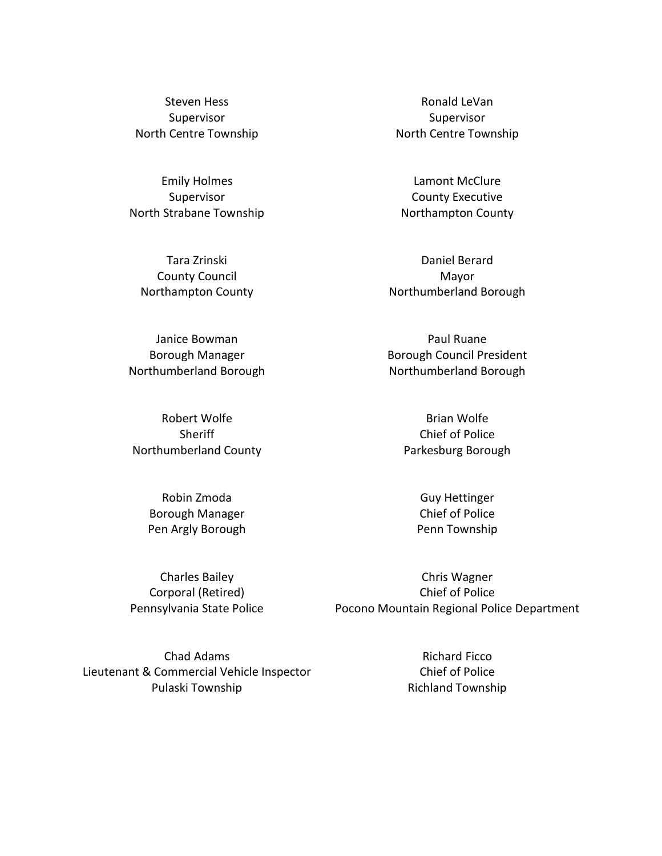Steven Hess Supervisor North Centre Township

Emily Holmes Supervisor North Strabane Township

Tara Zrinski County Council Northampton County

Janice Bowman Borough Manager Northumberland Borough

Robert Wolfe Sheriff Northumberland County

> Robin Zmoda Borough Manager Pen Argly Borough

Charles Bailey Corporal (Retired) Pennsylvania State Police

Chad Adams Lieutenant & Commercial Vehicle Inspector Pulaski Township

Ronald LeVan Supervisor North Centre Township

Lamont McClure County Executive Northampton County

Daniel Berard Mayor Northumberland Borough

Paul Ruane Borough Council President Northumberland Borough

> Brian Wolfe Chief of Police Parkesburg Borough

> > Guy Hettinger Chief of Police Penn Township

Chris Wagner Chief of Police Pocono Mountain Regional Police Department

> Richard Ficco Chief of Police Richland Township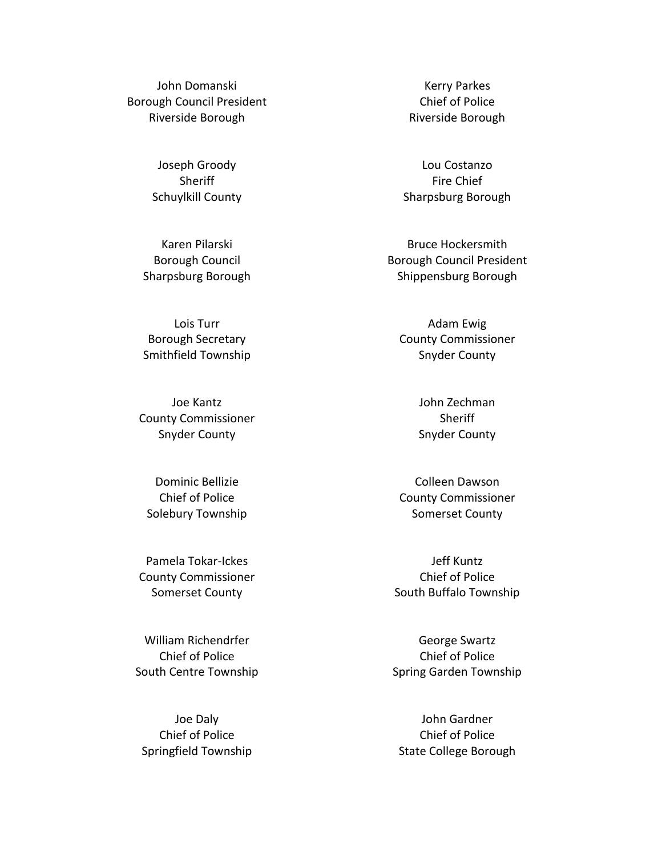John Domanski Borough Council President Riverside Borough

> Joseph Groody **Sheriff** Schuylkill County

Karen Pilarski Borough Council Sharpsburg Borough

Lois Turr Borough Secretary Smithfield Township

Joe Kantz County Commissioner Snyder County

Dominic Bellizie Chief of Police Solebury Township

Pamela Tokar-Ickes County Commissioner Somerset County

William Richendrfer Chief of Police South Centre Township

Joe Daly Chief of Police Springfield Township

Kerry Parkes Chief of Police Riverside Borough

Lou Costanzo Fire Chief Sharpsburg Borough

Bruce Hockersmith Borough Council President Shippensburg Borough

Adam Ewig County Commissioner Snyder County

> John Zechman **Sheriff** Snyder County

Colleen Dawson County Commissioner Somerset County

Jeff Kuntz Chief of Police South Buffalo Township

George Swartz Chief of Police Spring Garden Township

John Gardner Chief of Police State College Borough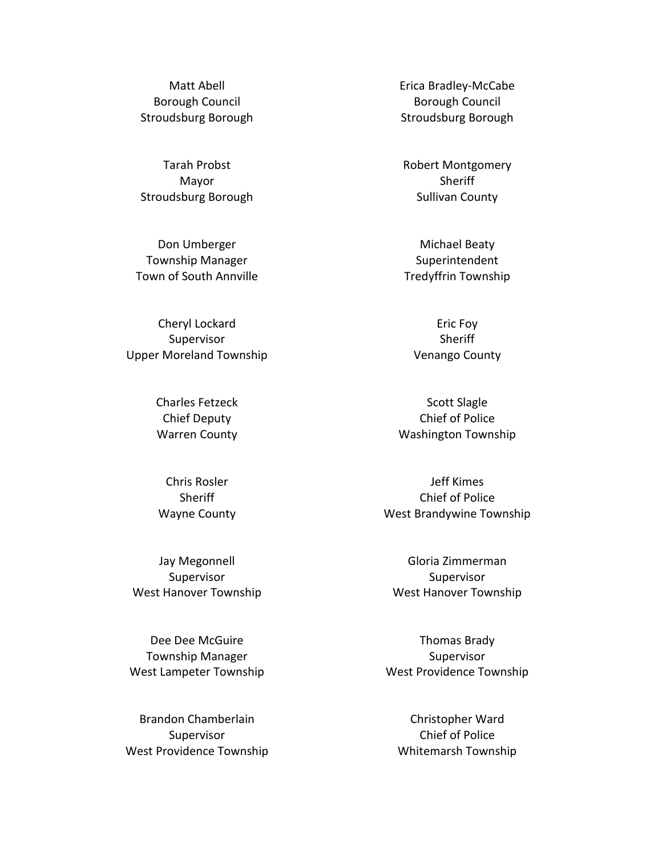Matt Abell Borough Council Stroudsburg Borough

Tarah Probst Mayor Stroudsburg Borough

Don Umberger Township Manager Town of South Annville

Cheryl Lockard Supervisor Upper Moreland Township

> Charles Fetzeck Chief Deputy Warren County

Chris Rosler **Sheriff** Wayne County

Jay Megonnell Supervisor West Hanover Township

Dee Dee McGuire Township Manager West Lampeter Township

Brandon Chamberlain Supervisor West Providence Township Erica Bradley-McCabe Borough Council Stroudsburg Borough

Robert Montgomery **Sheriff** Sullivan County

Michael Beaty Superintendent Tredyffrin Township

Eric Foy **Sheriff** Venango County

Scott Slagle Chief of Police Washington Township

Jeff Kimes Chief of Police West Brandywine Township

Gloria Zimmerman Supervisor West Hanover Township

Thomas Brady Supervisor West Providence Township

Christopher Ward Chief of Police Whitemarsh Township